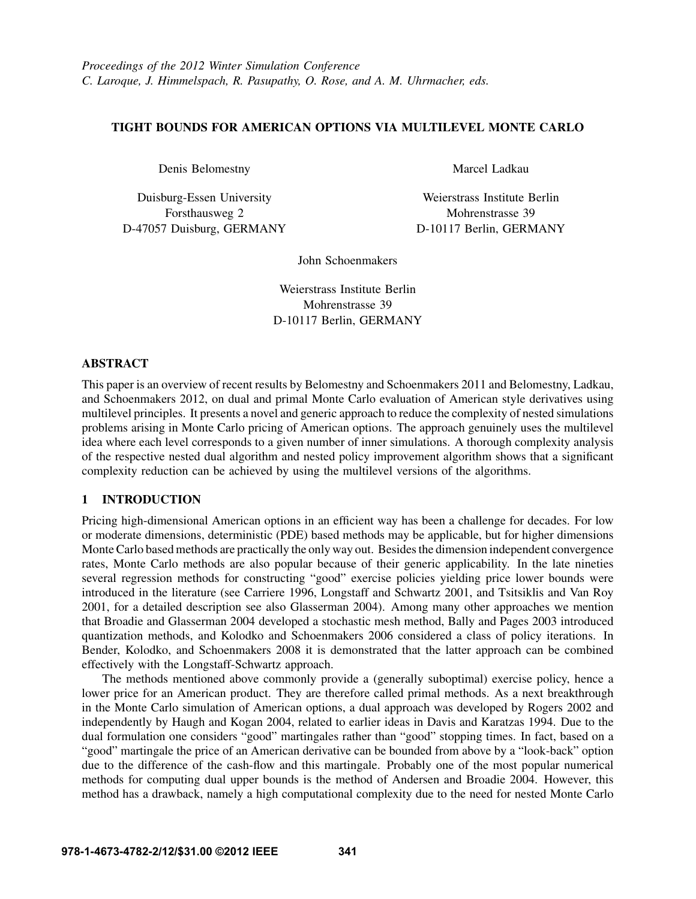## TIGHT BOUNDS FOR AMERICAN OPTIONS VIA MULTILEVEL MONTE CARLO

Denis Belomestny

Duisburg-Essen University Forsthausweg 2 D-47057 Duisburg, GERMANY Marcel Ladkau

Weierstrass Institute Berlin Mohrenstrasse 39 D-10117 Berlin, GERMANY

John Schoenmakers

Weierstrass Institute Berlin Mohrenstrasse 39 D-10117 Berlin, GERMANY

## ABSTRACT

This paper is an overview of recent results by Belomestny and Schoenmakers 2011 and Belomestny, Ladkau, and Schoenmakers 2012, on dual and primal Monte Carlo evaluation of American style derivatives using multilevel principles. It presents a novel and generic approach to reduce the complexity of nested simulations problems arising in Monte Carlo pricing of American options. The approach genuinely uses the multilevel idea where each level corresponds to a given number of inner simulations. A thorough complexity analysis of the respective nested dual algorithm and nested policy improvement algorithm shows that a significant complexity reduction can be achieved by using the multilevel versions of the algorithms.

# 1 INTRODUCTION

Pricing high-dimensional American options in an efficient way has been a challenge for decades. For low or moderate dimensions, deterministic (PDE) based methods may be applicable, but for higher dimensions Monte Carlo based methods are practically the only way out. Besides the dimension independent convergence rates, Monte Carlo methods are also popular because of their generic applicability. In the late nineties several regression methods for constructing "good" exercise policies yielding price lower bounds were introduced in the literature (see Carriere 1996, Longstaff and Schwartz 2001, and Tsitsiklis and Van Roy 2001, for a detailed description see also Glasserman 2004). Among many other approaches we mention that Broadie and Glasserman 2004 developed a stochastic mesh method, Bally and Pages 2003 introduced quantization methods, and Kolodko and Schoenmakers 2006 considered a class of policy iterations. In Bender, Kolodko, and Schoenmakers 2008 it is demonstrated that the latter approach can be combined effectively with the Longstaff-Schwartz approach.

The methods mentioned above commonly provide a (generally suboptimal) exercise policy, hence a lower price for an American product. They are therefore called primal methods. As a next breakthrough in the Monte Carlo simulation of American options, a dual approach was developed by Rogers 2002 and independently by Haugh and Kogan 2004, related to earlier ideas in Davis and Karatzas 1994. Due to the dual formulation one considers "good" martingales rather than "good" stopping times. In fact, based on a "good" martingale the price of an American derivative can be bounded from above by a "look-back" option due to the difference of the cash-flow and this martingale. Probably one of the most popular numerical methods for computing dual upper bounds is the method of Andersen and Broadie 2004. However, this method has a drawback, namely a high computational complexity due to the need for nested Monte Carlo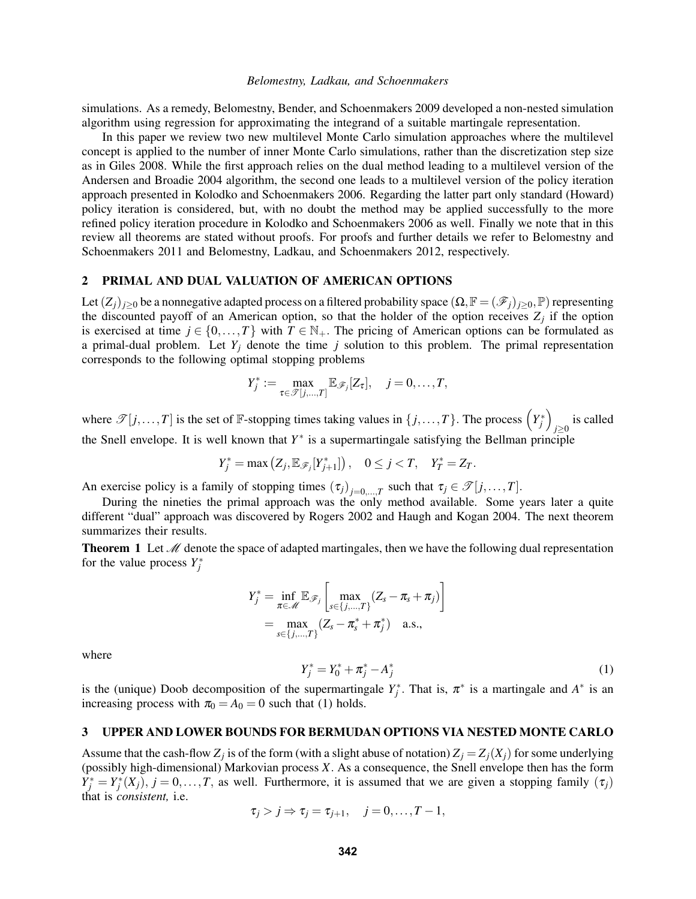simulations. As a remedy, Belomestny, Bender, and Schoenmakers 2009 developed a non-nested simulation algorithm using regression for approximating the integrand of a suitable martingale representation.

In this paper we review two new multilevel Monte Carlo simulation approaches where the multilevel concept is applied to the number of inner Monte Carlo simulations, rather than the discretization step size as in Giles 2008. While the first approach relies on the dual method leading to a multilevel version of the Andersen and Broadie 2004 algorithm, the second one leads to a multilevel version of the policy iteration approach presented in Kolodko and Schoenmakers 2006. Regarding the latter part only standard (Howard) policy iteration is considered, but, with no doubt the method may be applied successfully to the more refined policy iteration procedure in Kolodko and Schoenmakers 2006 as well. Finally we note that in this review all theorems are stated without proofs. For proofs and further details we refer to Belomestny and Schoenmakers 2011 and Belomestny, Ladkau, and Schoenmakers 2012, respectively.

#### 2 PRIMAL AND DUAL VALUATION OF AMERICAN OPTIONS

Let  $(Z_j)_{j\geq 0}$  be a nonnegative adapted process on a filtered probability space  $(\Omega, \mathbb{F} = (\mathscr{F}_j)_{j\geq 0}, \mathbb{P})$  representing the discounted payoff of an American option, so that the holder of the option receives  $Z_j$  if the option is exercised at time  $j \in \{0, ..., T\}$  with  $T \in \mathbb{N}_+$ . The pricing of American options can be formulated as a primal-dual problem. Let  $Y_i$  denote the time  $j$  solution to this problem. The primal representation corresponds to the following optimal stopping problems

$$
Y_j^* := \max_{\tau \in \mathcal{T}[j,\ldots,T]} \mathbb{E}_{\mathcal{F}_j}[Z_{\tau}], \quad j = 0,\ldots,T,
$$

where  $\mathscr{T}[j,\ldots,T]$  is the set of  $\mathbb{F}$ -stopping times taking values in  $\{j,\ldots,T\}$ . The process  $\left(Y_j^*\right)$ *j*≥0 is called the Snell envelope. It is well known that *Y* ∗ is a supermartingale satisfying the Bellman principle

 $Y_j^* = \max (Z_j, \mathbb{E}_{\mathscr{F}_j}[Y_{j+1}^*])$ ,  $0 \le j < T$ ,  $Y_T^* = Z_T$ .

An exercise policy is a family of stopping times  $(\tau_j)_{j=0,\dots,T}$  such that  $\tau_j \in \mathcal{T}[j,\dots,T]$ .

During the nineties the primal approach was the only method available. Some years later a quite different "dual" approach was discovered by Rogers 2002 and Haugh and Kogan 2004. The next theorem summarizes their results.

**Theorem 1** Let  $\mathcal{M}$  denote the space of adapted martingales, then we have the following dual representation for the value process  $Y_j^*$ 

$$
Y_j^* = \inf_{\pi \in \mathcal{M}} \mathbb{E}_{\mathscr{F}_j} \left[ \max_{s \in \{j, ..., T\}} (Z_s - \pi_s + \pi_j) \right]
$$
  
= 
$$
\max_{s \in \{j, ..., T\}} (Z_s - \pi_s^* + \pi_j^*) \quad \text{a.s.,}
$$

where

$$
Y_j^* = Y_0^* + \pi_j^* - A_j^* \tag{1}
$$

is the (unique) Doob decomposition of the supermartingale  $Y_j^*$ . That is,  $\pi^*$  is a martingale and  $A^*$  is an increasing process with  $\pi_0 = A_0 = 0$  such that (1) holds.

#### 3 UPPER AND LOWER BOUNDS FOR BERMUDAN OPTIONS VIA NESTED MONTE CARLO

Assume that the cash-flow  $Z_j$  is of the form (with a slight abuse of notation)  $Z_j = Z_j(X_j)$  for some underlying (possibly high-dimensional) Markovian process *X*. As a consequence, the Snell envelope then has the form  $Y_j^* = Y_j^*(X_j)$ ,  $j = 0, \ldots, T$ , as well. Furthermore, it is assumed that we are given a stopping family  $(\tau_j)$ that is *consistent,* i.e.

$$
\tau_j > j \Rightarrow \tau_j = \tau_{j+1}, \quad j = 0, \ldots, T-1,
$$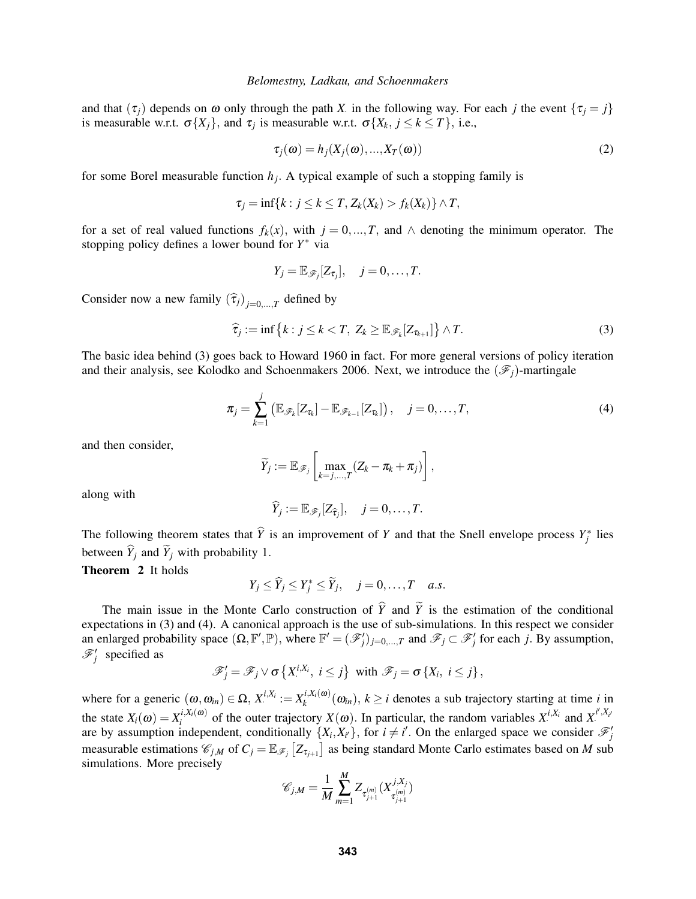and that  $(\tau_j)$  depends on  $\omega$  only through the path *X* in the following way. For each *j* the event  $\{\tau_j = j\}$ is measurable w.r.t.  $\sigma\{X_j\}$ , and  $\tau_j$  is measurable w.r.t.  $\sigma\{X_k, j \leq k \leq T\}$ , i.e.,

$$
\tau_j(\omega) = h_j(X_j(\omega), ..., X_T(\omega))
$$
\n(2)

for some Borel measurable function  $h_j$ . A typical example of such a stopping family is

$$
\tau_j = \inf\{k : j \leq k \leq T, Z_k(X_k) > f_k(X_k)\} \wedge T,
$$

for a set of real valued functions  $f_k(x)$ , with  $j = 0, ..., T$ , and  $\wedge$  denoting the minimum operator. The stopping policy defines a lower bound for *Y* <sup>∗</sup> via

$$
Y_j = \mathbb{E}_{\mathscr{F}_j}[Z_{\tau_j}], \quad j = 0, \ldots, T.
$$

Consider now a new family  $(\hat{\tau}_j)_{j=0,\dots,T}$  defined by

$$
\widehat{\tau}_j := \inf \left\{ k : j \leq k < T, \ Z_k \geq \mathbb{E}_{\mathscr{F}_k} [Z_{\tau_{k+1}}] \right\} \wedge T. \tag{3}
$$

The basic idea behind (3) goes back to Howard 1960 in fact. For more general versions of policy iteration and their analysis, see Kolodko and Schoenmakers 2006. Next, we introduce the  $(\mathscr{F}_i)$ -martingale

$$
\pi_j = \sum_{k=1}^j \left( \mathbb{E}_{\mathscr{F}_k}[Z_{\tau_k}] - \mathbb{E}_{\mathscr{F}_{k-1}}[Z_{\tau_k}] \right), \quad j = 0, \ldots, T,
$$
\n(4)

and then consider,

$$
\widetilde{Y}_j := \mathbb{E}_{\mathscr{F}_j}\left[\max_{k=j,\dots,T}(Z_k - \pi_k + \pi_j)\right],
$$

along with

$$
\widehat{Y}_j := \mathbb{E}_{\mathscr{F}_j}[Z_{\widehat{\tau}_j}], \quad j = 0, \ldots, T.
$$

The following theorem states that  $\hat{Y}$  is an improvement of *Y* and that the Snell envelope process  $Y_j^*$  lies between  $\hat{Y}_i$  and  $\hat{Y}_j$  with probability 1.

Theorem 2 It holds

$$
Y_j \leq \widehat{Y}_j \leq Y_j^* \leq \widetilde{Y}_j, \quad j=0,\ldots,T \quad a.s.
$$

The main issue in the Monte Carlo construction of  $\hat{Y}$  and  $\tilde{Y}$  is the estimation of the conditional expectations in (3) and (4). A canonical approach is the use of sub-simulations. In this respect we consider an enlarged probability space  $(\Omega, \mathbb{F}', \mathbb{P})$ , where  $\mathbb{F}' = (\mathscr{F}'_j)_{j=0,\dots,T}$  and  $\mathscr{F}_j \subset \mathscr{F}'_j$  for each *j*. By assumption,  $\mathscr{F}'_j$  specified as

$$
\mathscr{F}'_j = \mathscr{F}_j \vee \sigma \left\{ X^{i,X_i}, i \leq j \right\} \text{ with } \mathscr{F}_j = \sigma \left\{ X_i, i \leq j \right\},\
$$

where for a generic  $(\omega, \omega_{in}) \in \Omega$ ,  $X_i^{i,X_i} := X_k^{i,X_i(\omega)}$  $(k_{i,k}^{l,\lambda_{i}(\omega)}(ω_{in}), k \geq i$  denotes a sub trajectory starting at time *i* in the state  $X_i(\omega) = X_i^{i, X_i(\omega)}$  $i$ ,*X<sub>i</sub>*( $\omega$ ) of the outer trajectory *X*( $\omega$ ). In particular, the random variables *X*<sup>*i*,*X<sub>i</sub>*</sup> and *X*<sup>*i*<sup> $i$ </sup>,*X<sub>i</sub>*</sup> are by assumption independent, conditionally  $\{X_i, X_{i'}\}$ , for  $i \neq i'$ . On the enlarged space we consider  $\mathcal{F}'_j$ measurable estimations  $\mathscr{C}_{j,M}$  of  $C_j = \mathbb{E}_{\mathscr{F}_j} [Z_{\tau_{j+1}}]$  as being standard Monte Carlo estimates based on *M* sub simulations. More precisely

$$
\mathscr{C}_{j,M} = \frac{1}{M} \sum_{m=1}^{M} Z_{\tau_{j+1}^{(m)}}(X_{\tau_{j+1}^{(m)}}^{j,X_j})
$$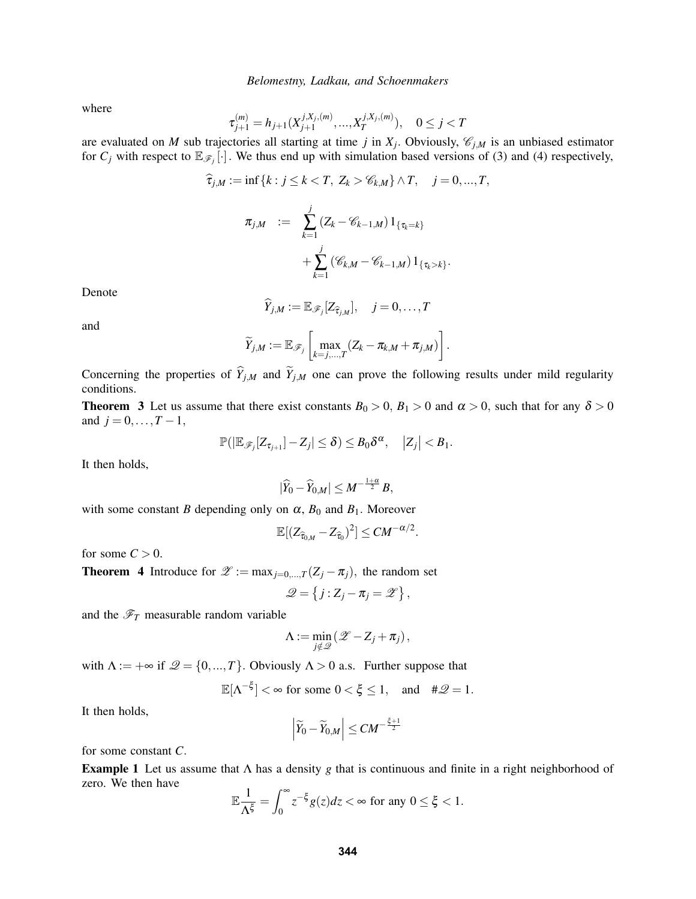where

$$
\tau_{j+1}^{(m)}=h_{j+1}(X_{j+1}^{j,X_j,(m)},...,X_{T}^{j,X_j,(m)}),\quad 0\leq j
$$

are evaluated on *M* sub trajectories all starting at time *j* in  $X_j$ . Obviously,  $\mathcal{C}_{j,M}$  is an unbiased estimator for  $C_j$  with respect to  $\mathbb{E}_{\mathscr{F}_j}[\cdot]$ . We thus end up with simulation based versions of (3) and (4) respectively,

$$
\widehat{\tau}_{j,M} := \inf \{ k : j \le k < T, \ Z_k > \mathscr{C}_{k,M} \} \wedge T, \quad j = 0, ..., T,
$$
  

$$
\pi_{j,M} := \sum_{k=1}^j (Z_k - \mathscr{C}_{k-1,M}) \mathbb{1}_{\{\tau_k = k\}}
$$
  

$$
+ \sum_{k=1}^j (\mathscr{C}_{k,M} - \mathscr{C}_{k-1,M}) \mathbb{1}_{\{\tau_k > k\}}.
$$

Denote

$$
\widehat{Y}_{j,M} := \mathbb{E}_{\mathscr{F}_j}[Z_{\widehat{\tau}_{j,M}}], \quad j=0,\ldots,T
$$

and

$$
\widetilde{Y}_{j,M} := \mathbb{E}_{\mathscr{F}_j}\left[\max_{k=j,\ldots,T}(Z_k - \pi_{k,M} + \pi_{j,M})\right].
$$

Concerning the properties of  $\hat{Y}_{j,M}$  and  $\tilde{Y}_{j,M}$  one can prove the following results under mild regularity conditions.

**Theorem 3** Let us assume that there exist constants  $B_0 > 0$ ,  $B_1 > 0$  and  $\alpha > 0$ , such that for any  $\delta > 0$ and  $j = 0, ..., T - 1$ ,

$$
\mathbb{P}(|\mathbb{E}_{\mathscr{F}_j}[Z_{\tau_{j+1}}]-Z_j|\leq \delta)\leq B_0\delta^{\alpha},\quad |Z_j|
$$

It then holds,

$$
|\widehat{Y}_0 - \widehat{Y}_{0,M}| \leq M^{-\frac{1+\alpha}{2}} B,
$$

with some constant *B* depending only on  $\alpha$ ,  $B_0$  and  $B_1$ . Moreover

$$
\mathbb{E}[(Z_{\widehat{\tau}_{0,M}}-Z_{\widehat{\tau}_0})^2]\leq CM^{-\alpha/2}
$$

.

for some  $C > 0$ .

**Theorem 4** Introduce for  $\mathscr{Z} := \max_{i=0,\dots,T} (Z_i - \pi_i)$ , the random set

$$
\mathscr{Q} = \left\{ j : Z_j - \pi_j = \mathscr{Z} \right\},\
$$

and the  $\mathcal{F}_T$  measurable random variable

$$
\Lambda := \min_{j \notin \mathcal{Q}} (\mathcal{Z} - Z_j + \pi_j),
$$

with  $\Lambda := +\infty$  if  $\mathcal{Q} = \{0, ..., T\}$ . Obviously  $\Lambda > 0$  a.s. Further suppose that

$$
\mathbb{E}[\Lambda^{-\xi}] < \infty \text{ for some } 0 < \xi \le 1, \quad \text{and} \quad \#\mathcal{Q} = 1.
$$

It then holds,

$$
\left|\widetilde{Y}_0-\widetilde{Y}_{0,M}\right|\leq CM^{-\frac{\xi+1}{2}}
$$

for some constant *C*.

Example 1 Let us assume that Λ has a density *g* that is continuous and finite in a right neighborhood of zero. We then have

$$
\mathbb{E}\frac{1}{\Lambda^{\xi}}=\int_0^\infty z^{-\xi}g(z)dz<\infty \text{ for any }0\leq \xi<1.
$$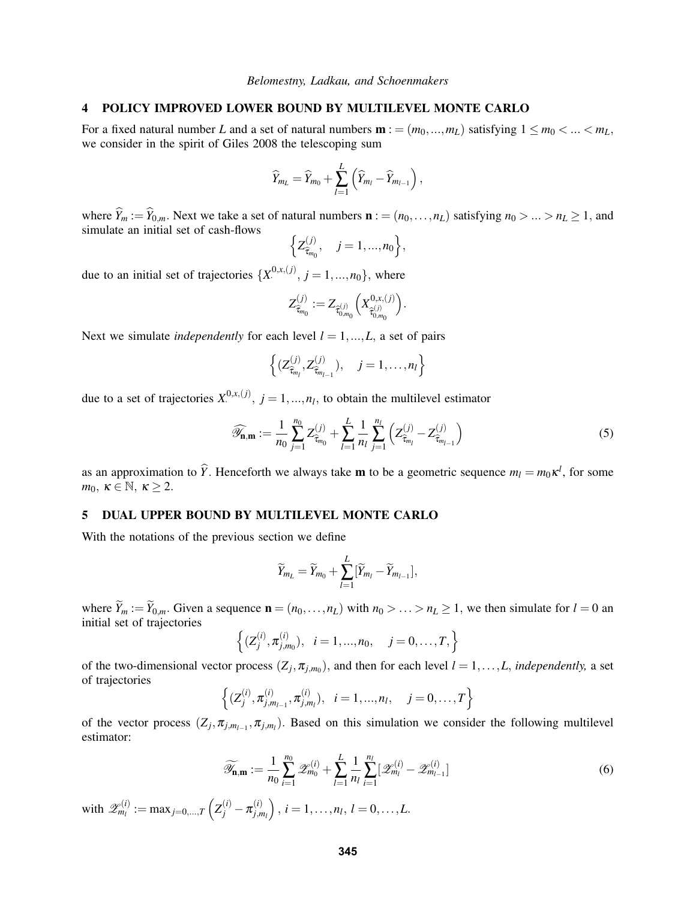#### 4 POLICY IMPROVED LOWER BOUND BY MULTILEVEL MONTE CARLO

For a fixed natural number *L* and a set of natural numbers  $\mathbf{m} := (m_0, ..., m_L)$  satisfying  $1 \le m_0 < ... < m_L$ , we consider in the spirit of Giles 2008 the telescoping sum

$$
\widehat{Y}_{m_L} = \widehat{Y}_{m_0} + \sum_{l=1}^L \left( \widehat{Y}_{m_l} - \widehat{Y}_{m_{l-1}} \right),
$$

where  $\hat{Y}_m := \hat{Y}_{0,m}$ . Next we take a set of natural numbers  $\mathbf{n} := (n_0, \dots, n_L)$  satisfying  $n_0 > \dots > n_L \ge 1$ , and simulate an initial set of cash-flows

$$
\left\{Z_{\widehat{\tau}_{m_0}}^{(j)}, \quad j=1,\ldots,n_0\right\},\
$$

due to an initial set of trajectories  $\{X^{0,x,(j)}, j = 1,...,n_0\}$ , where

$$
Z^{(j)}_{\widehat{\tau}_{m_0}}:=Z_{\widehat{\tau}^{(j)}_{0,m_0}}\Big(X^{0,x,(j)}_{\widehat{\tau}^{(j)}_{0,m_0}}\Big).
$$

Next we simulate *independently* for each level  $l = 1, ..., L$ , a set of pairs

$$
\left\{ (Z_{\widehat{\tau}_{m_l}}^{(j)}, Z_{\widehat{\tau}_{m_{l-1}}}^{(j)}), \quad j=1,\ldots,n_l \right\}
$$

due to a set of trajectories  $X^{0,x,(j)}$ ,  $j = 1,...,n_l$ , to obtain the multilevel estimator

$$
\widehat{\mathscr{Y}}_{n,m} := \frac{1}{n_0} \sum_{j=1}^{n_0} Z_{\widehat{\tau}_{m_0}}^{(j)} + \sum_{l=1}^L \frac{1}{n_l} \sum_{j=1}^{n_l} \left( Z_{\widehat{\tau}_{m_l}}^{(j)} - Z_{\widehat{\tau}_{m_{l-1}}}^{(j)} \right)
$$
(5)

as an approximation to  $\hat{Y}$ . Henceforth we always take **m** to be a geometric sequence  $m_l = m_0 \kappa^l$ , for some *m*<sub>0</sub>,  $\kappa \in \mathbb{N}, \ \kappa \geq 2$ .

### 5 DUAL UPPER BOUND BY MULTILEVEL MONTE CARLO

With the notations of the previous section we define

$$
\widetilde{Y}_{m_L} = \widetilde{Y}_{m_0} + \sum_{l=1}^{L} [\widetilde{Y}_{m_l} - \widetilde{Y}_{m_{l-1}}],
$$

where  $\widetilde{Y}_m := \widetilde{Y}_{0,m}$ . Given a sequence  $\mathbf{n} = (n_0, \ldots, n_L)$  with  $n_0 > \ldots > n_L \ge 1$ , we then simulate for  $l = 0$  and initial set of trajectories

$$
\left\{ (Z_j^{(i)}, \pi_{j,m_0}^{(i)}), i = 1,...,n_0, j = 0,...,T, \right\}
$$

of the two-dimensional vector process  $(Z_j, \pi_{j,m_0})$ , and then for each level  $l = 1, ..., L$ , *independently*, a set of trajectories

$$
\left\{ (Z_j^{(i)}, \pi_{j,m_{l-1}}^{(i)}, \pi_{j,m_l}^{(i)}), i=1,...,n_l, j=0,...,T \right\}
$$

of the vector process  $(Z_j, \pi_{j,m_l-1}, \pi_{j,m_l})$ . Based on this simulation we consider the following multilevel estimator:

$$
\widetilde{\mathscr{Y}}_{n,m} := \frac{1}{n_0} \sum_{i=1}^{n_0} \mathscr{Z}_{m_0}^{(i)} + \sum_{l=1}^{L} \frac{1}{n_l} \sum_{i=1}^{n_l} [\mathscr{Z}_{m_l}^{(i)} - \mathscr{Z}_{m_{l-1}}^{(i)}]
$$
(6)

with  $\mathscr{Z}_{m_l}^{(i)} := \max_{j=0,...,T} \left( Z_j^{(i)} - \pi_{j,n}^{(i)} \right)$  $\left( \begin{matrix} i \ j,m_l \end{matrix} \right),\, i=1,\dots,n_l,\,l=0,\dots,L.$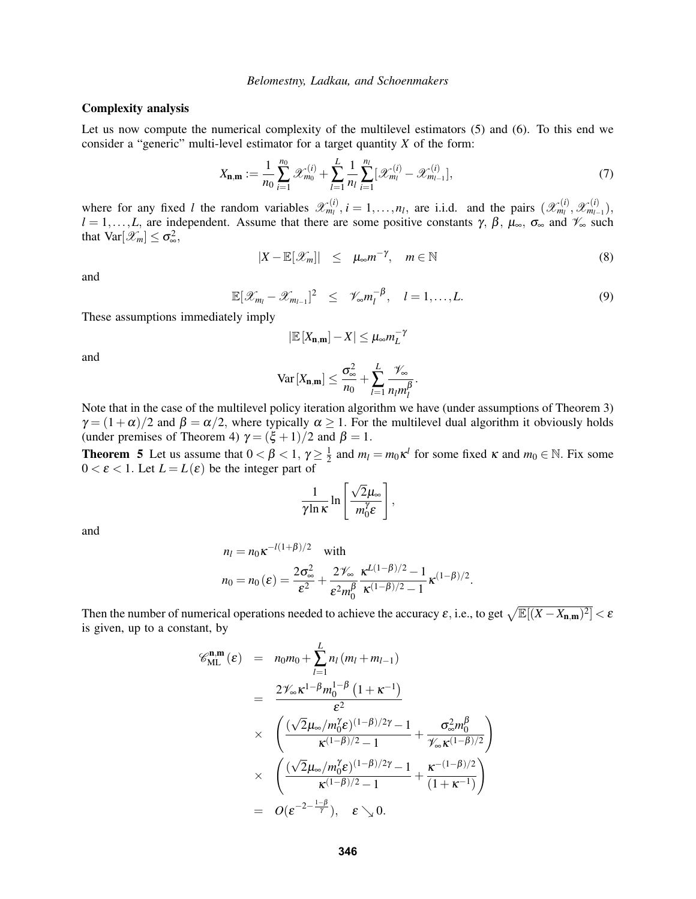#### Complexity analysis

Let us now compute the numerical complexity of the multilevel estimators (5) and (6). To this end we consider a "generic" multi-level estimator for a target quantity *X* of the form:

$$
X_{n,m} := \frac{1}{n_0} \sum_{i=1}^{n_0} \mathcal{X}_{m_0}^{(i)} + \sum_{l=1}^{L} \frac{1}{n_l} \sum_{i=1}^{n_l} [\mathcal{X}_{m_l}^{(i)} - \mathcal{X}_{m_{l-1}}^{(i)}],
$$
(7)

where for any fixed *l* the random variables  $\mathscr{X}_{m_l}^{(i)}$ ,  $i = 1, \ldots, n_l$ , are i.i.d. and the pairs  $(\mathscr{X}_{m_l}^{(i)}, \mathscr{X}_{m_{l-1}}^{(i)}),$  $l = 1, \ldots, L$ , are independent. Assume that there are some positive constants  $\gamma$ ,  $\beta$ ,  $\mu_{\infty}$ ,  $\sigma_{\infty}$  and  $\mathcal{V}_{\infty}$  such that  $Var[\mathcal{X}_m] \leq \sigma_{\infty}^2$ ,

$$
|X - \mathbb{E}[\mathscr{X}_m]| \leq \mu_{\infty} m^{-\gamma}, \quad m \in \mathbb{N}
$$
 (8)

and

$$
\mathbb{E}[\mathscr{X}_{m_l}-\mathscr{X}_{m_{l-1}}]^2 \leq \mathscr{V}_{\infty}m_l^{-\beta}, \quad l=1,\ldots,L. \tag{9}
$$

These assumptions immediately imply

$$
|\mathbb{E}[X_{n,m}] - X| \leq \mu_{\infty} m_L^{-\gamma}
$$

and

$$
\text{Var}\left[X_{\mathbf{n},\mathbf{m}}\right] \leq \frac{\sigma_{\infty}^2}{n_0} + \sum_{l=1}^{L} \frac{\mathcal{V}_{\infty}}{n_l m_l^{\beta}}.
$$

Note that in the case of the multilevel policy iteration algorithm we have (under assumptions of Theorem 3)  $\gamma = (1+\alpha)/2$  and  $\beta = \alpha/2$ , where typically  $\alpha \ge 1$ . For the multilevel dual algorithm it obviously holds (under premises of Theorem 4)  $\gamma = (\xi + 1)/2$  and  $\beta = 1$ .

**Theorem 5** Let us assume that  $0 < \beta < 1$ ,  $\gamma \ge \frac{1}{2}$  $\frac{1}{2}$  and  $m_l = m_0 \kappa^l$  for some fixed  $\kappa$  and  $m_0 \in \mathbb{N}$ . Fix some  $0 < \varepsilon < 1$ . Let  $L = L(\varepsilon)$  be the integer part of

$$
\frac{1}{\gamma \ln \kappa} \ln \left[ \frac{\sqrt{2} \mu_{\infty}}{m_0^{\gamma} \varepsilon} \right],
$$

and

$$
n_l = n_0 \kappa^{-l(1+\beta)/2} \quad \text{with}
$$
  

$$
n_0 = n_0 (\varepsilon) = \frac{2\sigma_{\infty}^2}{\varepsilon^2} + \frac{2\mathscr{V}_{\infty}}{\varepsilon^2 m_0^{\beta}} \frac{\kappa^{L(1-\beta)/2} - 1}{\kappa^{(1-\beta)/2} - 1} \kappa^{(1-\beta)/2}.
$$

Then the number of numerical operations needed to achieve the accuracy  $\varepsilon$ , i.e., to get  $\sqrt{\mathbb{E}[(X - X_{n,m})^2]} < \varepsilon$ is given, up to a constant, by

$$
\mathscr{C}_{\text{ML}}^{\mathbf{n},\mathbf{m}}(\varepsilon) = n_0 m_0 + \sum_{l=1}^{L} n_l (m_l + m_{l-1})
$$
  
\n
$$
= \frac{2 \mathscr{V}_{\infty} \kappa^{1-\beta} m_0^{1-\beta} (1 + \kappa^{-1})}{\varepsilon^2}
$$
  
\n
$$
\times \left( \frac{(\sqrt{2} \mu_{\infty}/m_0^{\gamma} \varepsilon)^{(1-\beta)/2\gamma} - 1}{\kappa^{(1-\beta)/2} - 1} + \frac{\sigma_{\infty}^2 m_0^{\beta}}{\mathscr{V}_{\infty} \kappa^{(1-\beta)/2}} \right)
$$
  
\n
$$
\times \left( \frac{(\sqrt{2} \mu_{\infty}/m_0^{\gamma} \varepsilon)^{(1-\beta)/2\gamma} - 1}{\kappa^{(1-\beta)/2} - 1} + \frac{\kappa^{-(1-\beta)/2}}{(1 + \kappa^{-1})} \right)
$$
  
\n
$$
= O(\varepsilon^{-2 - \frac{1-\beta}{\gamma}}), \quad \varepsilon \searrow 0.
$$

 $\setminus$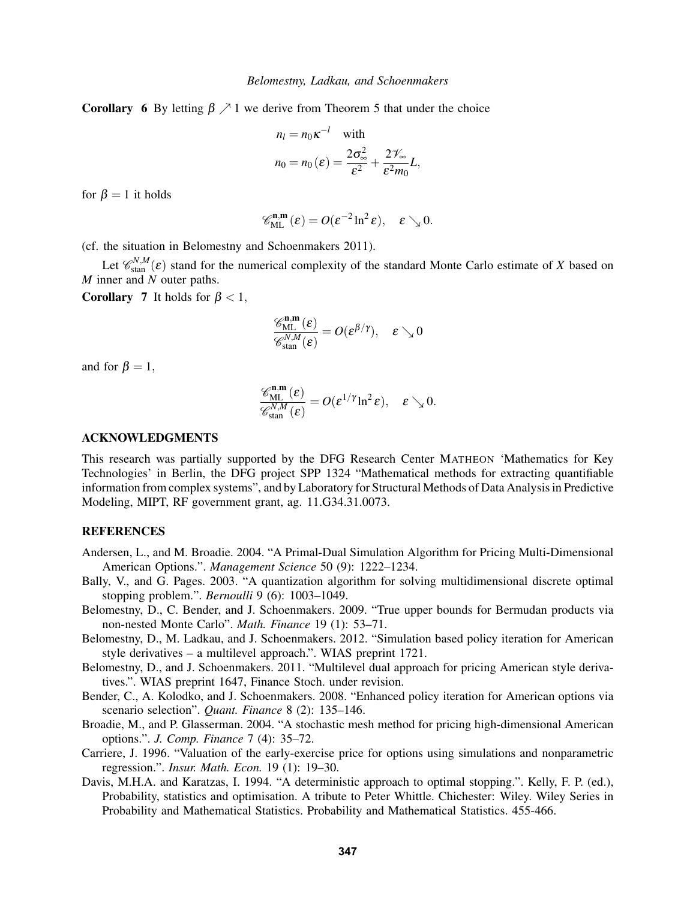**Corollary 6** By letting  $\beta \nearrow 1$  we derive from Theorem 5 that under the choice

$$
n_l = n_0 \kappa^{-l} \quad \text{with}
$$

$$
n_0 = n_0 (\varepsilon) = \frac{2\sigma_{\infty}^2}{\varepsilon^2} + \frac{2\mathcal{V}_{\infty}}{\varepsilon^2 m_0} L,
$$

for  $\beta = 1$  it holds

$$
\mathscr{C}^{\mathbf{n},\mathbf{m}}_{\text{ML}}(\epsilon)=\textit{O}(\epsilon^{-2}\ln^2\epsilon),\quad \epsilon\searrow 0.
$$

(cf. the situation in Belomestny and Schoenmakers 2011).

Let  $\mathcal{C}_{\text{stan}}^{N,M}(\varepsilon)$  stand for the numerical complexity of the standard Monte Carlo estimate of *X* based on *M* inner and *N* outer paths.

**Corollary 7** It holds for  $\beta < 1$ ,

$$
\frac{\mathscr{C}_{\text{ML}}^{\mathbf{n},\mathbf{m}}(\varepsilon)}{\mathscr{C}_{\text{stan}}^{N,M}(\varepsilon)} = O(\varepsilon^{\beta/\gamma}), \quad \varepsilon \searrow 0
$$

and for  $\beta = 1$ ,

$$
\frac{\mathscr{C}_{ML}^{\mathbf{n},\mathbf{m}}(\boldsymbol{\epsilon})}{\mathscr{C}_{\text{stan}}^{N,M}(\boldsymbol{\epsilon})} = O(\boldsymbol{\epsilon}^{1/\gamma}\text{ln}^2\boldsymbol{\epsilon}),\quad \boldsymbol{\epsilon}\searrow 0.
$$

#### ACKNOWLEDGMENTS

This research was partially supported by the DFG Research Center MATHEON 'Mathematics for Key Technologies' in Berlin, the DFG project SPP 1324 "Mathematical methods for extracting quantifiable information from complex systems", and by Laboratory for Structural Methods of Data Analysis in Predictive Modeling, MIPT, RF government grant, ag. 11.G34.31.0073.

## **REFERENCES**

- Andersen, L., and M. Broadie. 2004. "A Primal-Dual Simulation Algorithm for Pricing Multi-Dimensional American Options.". *Management Science* 50 (9): 1222–1234.
- Bally, V., and G. Pages. 2003. "A quantization algorithm for solving multidimensional discrete optimal stopping problem.". *Bernoulli* 9 (6): 1003–1049.
- Belomestny, D., C. Bender, and J. Schoenmakers. 2009. "True upper bounds for Bermudan products via non-nested Monte Carlo". *Math. Finance* 19 (1): 53–71.
- Belomestny, D., M. Ladkau, and J. Schoenmakers. 2012. "Simulation based policy iteration for American style derivatives – a multilevel approach.". WIAS preprint 1721.
- Belomestny, D., and J. Schoenmakers. 2011. "Multilevel dual approach for pricing American style derivatives.". WIAS preprint 1647, Finance Stoch. under revision.
- Bender, C., A. Kolodko, and J. Schoenmakers. 2008. "Enhanced policy iteration for American options via scenario selection". *Quant. Finance* 8 (2): 135–146.
- Broadie, M., and P. Glasserman. 2004. "A stochastic mesh method for pricing high-dimensional American options.". *J. Comp. Finance* 7 (4): 35–72.
- Carriere, J. 1996. "Valuation of the early-exercise price for options using simulations and nonparametric regression.". *Insur. Math. Econ.* 19 (1): 19–30.
- Davis, M.H.A. and Karatzas, I. 1994. "A deterministic approach to optimal stopping.". Kelly, F. P. (ed.), Probability, statistics and optimisation. A tribute to Peter Whittle. Chichester: Wiley. Wiley Series in Probability and Mathematical Statistics. Probability and Mathematical Statistics. 455-466.